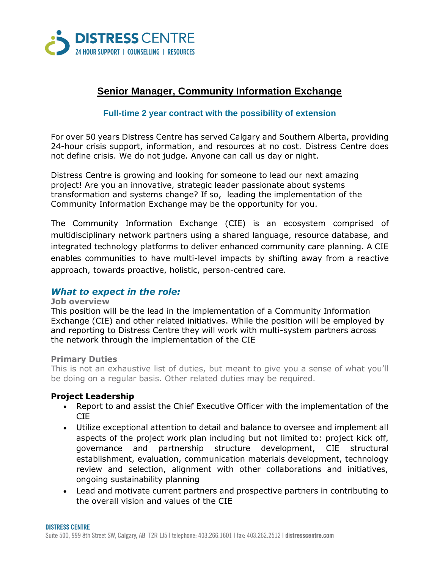

# **Senior Manager, Community Information Exchange**

#### **Full-time 2 year contract with the possibility of extension**

For over 50 years Distress Centre has served Calgary and Southern Alberta, providing 24-hour crisis support, information, and resources at no cost. Distress Centre does not define crisis. We do not judge. Anyone can call us day or night.

Distress Centre is growing and looking for someone to lead our next amazing project! Are you an innovative, strategic leader passionate about systems transformation and systems change? If so, leading the implementation of the Community Information Exchange may be the opportunity for you.

The Community Information Exchange (CIE) is an ecosystem comprised of multidisciplinary network partners using a shared language, resource database, and integrated technology platforms to deliver enhanced community care planning. A CIE enables communities to have multi-level impacts by shifting away from a reactive approach, towards proactive, holistic, person-centred care.

# *What to expect in the role:*

#### **Job overview**

This position will be the lead in the implementation of a Community Information Exchange (CIE) and other related initiatives. While the position will be employed by and reporting to Distress Centre they will work with multi-system partners across the network through the implementation of the CIE

#### **Primary Duties**

This is not an exhaustive list of duties, but meant to give you a sense of what you'll be doing on a regular basis. Other related duties may be required.

# **Project Leadership**

- Report to and assist the Chief Executive Officer with the implementation of the CIE
- Utilize exceptional attention to detail and balance to oversee and implement all aspects of the project work plan including but not limited to: project kick off, governance and partnership structure development, CIE structural establishment, evaluation, communication materials development, technology review and selection, alignment with other collaborations and initiatives, ongoing sustainability planning
- Lead and motivate current partners and prospective partners in contributing to the overall vision and values of the CIE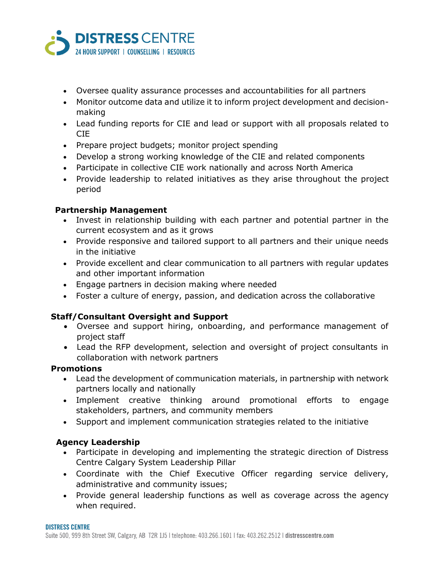

- Oversee quality assurance processes and accountabilities for all partners
- Monitor outcome data and utilize it to inform project development and decisionmaking
- Lead funding reports for CIE and lead or support with all proposals related to CIE
- Prepare project budgets; monitor project spending
- Develop a strong working knowledge of the CIE and related components
- Participate in collective CIE work nationally and across North America
- Provide leadership to related initiatives as they arise throughout the project period

# **Partnership Management**

- Invest in relationship building with each partner and potential partner in the current ecosystem and as it grows
- Provide responsive and tailored support to all partners and their unique needs in the initiative
- Provide excellent and clear communication to all partners with regular updates and other important information
- Engage partners in decision making where needed
- Foster a culture of energy, passion, and dedication across the collaborative

# **Staff/Consultant Oversight and Support**

- Oversee and support hiring, onboarding, and performance management of project staff
- Lead the RFP development, selection and oversight of project consultants in collaboration with network partners

# **Promotions**

- Lead the development of communication materials, in partnership with network partners locally and nationally
- Implement creative thinking around promotional efforts to engage stakeholders, partners, and community members
- Support and implement communication strategies related to the initiative

# **Agency Leadership**

- Participate in developing and implementing the strategic direction of Distress Centre Calgary System Leadership Pillar
- Coordinate with the Chief Executive Officer regarding service delivery, administrative and community issues;
- Provide general leadership functions as well as coverage across the agency when required.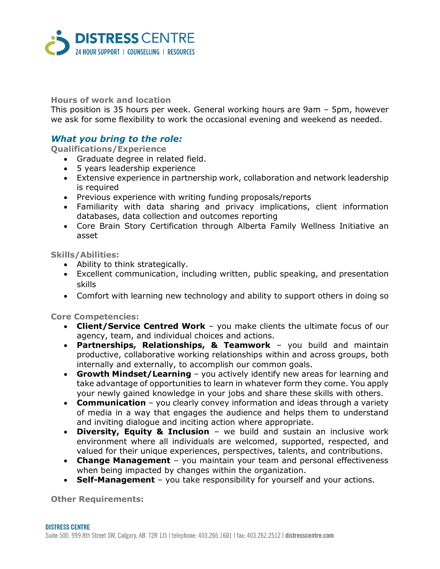

#### **Hours of work and location**

This position is 35 hours per week. General working hours are 9am – 5pm, however we ask for some flexibility to work the occasional evening and weekend as needed.

# *What you bring to the role:*

**Qualifications/Experience**

- Graduate degree in related field.
- 5 years leadership experience
- Extensive experience in partnership work, collaboration and network leadership is required
- Previous experience with writing funding proposals/reports
- Familiarity with data sharing and privacy implications, client information databases, data collection and outcomes reporting
- Core Brain Story Certification through Alberta Family Wellness Initiative an asset

#### **Skills/Abilities:**

- Ability to think strategically.
- Excellent communication, including written, public speaking, and presentation skills
- Comfort with learning new technology and ability to support others in doing so

**Core Competencies:**

- **Client/Service Centred Work** you make clients the ultimate focus of our agency, team, and individual choices and actions.
- **Partnerships, Relationships, & Teamwork** you build and maintain productive, collaborative working relationships within and across groups, both internally and externally, to accomplish our common goals.
- **Growth Mindset/Learning** you actively identify new areas for learning and take advantage of opportunities to learn in whatever form they come. You apply your newly gained knowledge in your jobs and share these skills with others.
- **Communication** you clearly convey information and ideas through a variety of media in a way that engages the audience and helps them to understand and inviting dialogue and inciting action where appropriate.
- **Diversity, Equity & Inclusion** we build and sustain an inclusive work environment where all individuals are welcomed, supported, respected, and valued for their unique experiences, perspectives, talents, and contributions.
- **Change Management** you maintain your team and personal effectiveness when being impacted by changes within the organization.
- **Self-Management** you take responsibility for yourself and your actions.

**Other Requirements:**